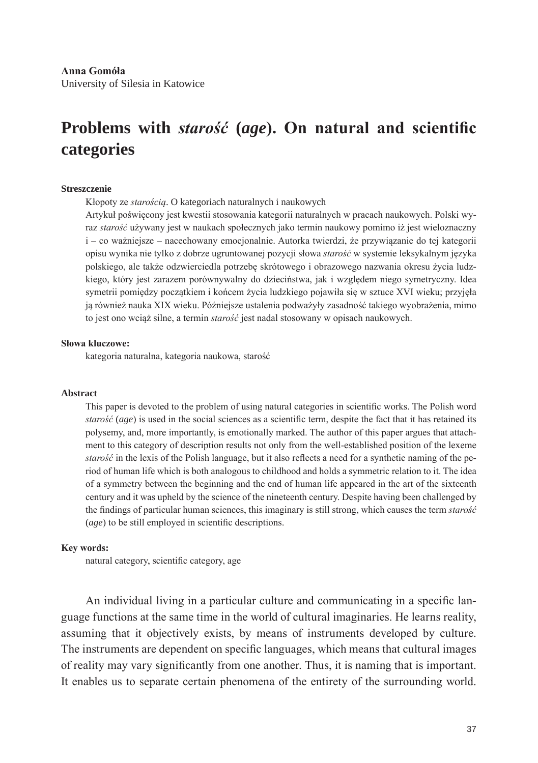# **Problems with** *starość* **(***age***). On natural and scientific categories**

### **Streszczenie**

Kłopoty ze *starością*. O kategoriach naturalnych i naukowych

Artykuł poświęcony jest kwestii stosowania kategorii naturalnych w pracach naukowych. Polski wyraz *starość* używany jest w naukach społecznych jako termin naukowy pomimo iż jest wieloznaczny i – co ważniejsze – nacechowany emocjonalnie. Autorka twierdzi, że przywiązanie do tej kategorii opisu wynika nie tylko z dobrze ugruntowanej pozycji słowa *starość* w systemie leksykalnym języka polskiego, ale także odzwierciedla potrzebę skrótowego i obrazowego nazwania okresu życia ludzkiego, który jest zarazem porównywalny do dzieciństwa, jak i względem niego symetryczny. Idea symetrii pomiędzy początkiem i końcem życia ludzkiego pojawiła się w sztuce XVI wieku; przyjęła ją również nauka XIX wieku. Późniejsze ustalenia podważyły zasadność takiego wyobrażenia, mimo to jest ono wciąż silne, a termin *starość* jest nadal stosowany w opisach naukowych.

#### **Słowa kluczowe:**

kategoria naturalna, kategoria naukowa, starość

#### **Abstract**

This paper is devoted to the problem of using natural categories in scientific works. The Polish word *starość* (*age*) is used in the social sciences as a scientific term, despite the fact that it has retained its polysemy, and, more importantly, is emotionally marked. The author of this paper argues that attachment to this category of description results not only from the well-established position of the lexeme *starość* in the lexis of the Polish language, but it also reflects a need for a synthetic naming of the period of human life which is both analogous to childhood and holds a symmetric relation to it. The idea of a symmetry between the beginning and the end of human life appeared in the art of the sixteenth century and it was upheld by the science of the nineteenth century. Despite having been challenged by the findings of particular human sciences, this imaginary is still strong, which causes the term *starość*  (*age*) to be still employed in scientific descriptions.

#### **Key words:**

natural category, scientific category, age

An individual living in a particular culture and communicating in a specific language functions at the same time in the world of cultural imaginaries. He learns reality, assuming that it objectively exists, by means of instruments developed by culture. The instruments are dependent on specific languages, which means that cultural images of reality may vary significantly from one another. Thus, it is naming that is important. It enables us to separate certain phenomena of the entirety of the surrounding world.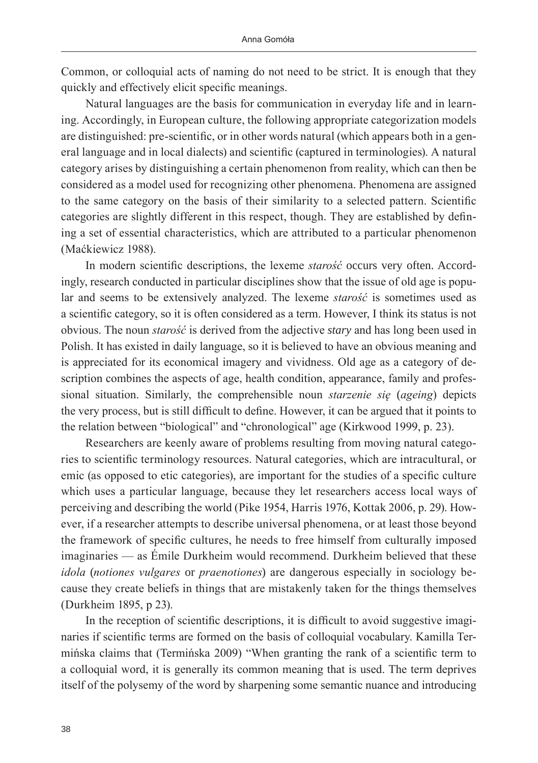Common, or colloquial acts of naming do not need to be strict. It is enough that they quickly and effectively elicit specific meanings.

Natural languages are the basis for communication in everyday life and in learning. Accordingly, in European culture, the following appropriate categorization models are distinguished: pre-scientific, or in other words natural (which appears both in a general language and in local dialects) and scientific (captured in terminologies). A natural category arises by distinguishing a certain phenomenon from reality, which can then be considered as a model used for recognizing other phenomena. Phenomena are assigned to the same category on the basis of their similarity to a selected pattern. Scientific categories are slightly different in this respect, though. They are established by defining a set of essential characteristics, which are attributed to a particular phenomenon (Maćkiewicz 1988).

In modern scientific descriptions, the lexeme *starość* occurs very often. Accordingly, research conducted in particular disciplines show that the issue of old age is popular and seems to be extensively analyzed. The lexeme *starość* is sometimes used as a scientific category, so it is often considered as a term. However, I think its status is not obvious. The noun *starość* is derived from the adjective *stary* and has long been used in Polish. It has existed in daily language, so it is believed to have an obvious meaning and is appreciated for its economical imagery and vividness. Old age as a category of description combines the aspects of age, health condition, appearance, family and professional situation. Similarly, the comprehensible noun *starzenie się* (*ageing*) depicts the very process, but is still difficult to define. However, it can be argued that it points to the relation between "biological" and "chronological" age (Kirkwood 1999, p. 23).

Researchers are keenly aware of problems resulting from moving natural categories to scientific terminology resources. Natural categories, which are intracultural, or emic (as opposed to etic categories), are important for the studies of a specific culture which uses a particular language, because they let researchers access local ways of perceiving and describing the world (Pike 1954, Harris 1976, Kottak 2006, p. 29). However, if a researcher attempts to describe universal phenomena, or at least those beyond the framework of specific cultures, he needs to free himself from culturally imposed imaginaries — as Émile Durkheim would recommend. Durkheim believed that these *idola* (*notiones vulgares* or *praenotiones*) are dangerous especially in sociology because they create beliefs in things that are mistakenly taken for the things themselves (Durkheim 1895, p 23).

In the reception of scientific descriptions, it is difficult to avoid suggestive imaginaries if scientific terms are formed on the basis of colloquial vocabulary. Kamilla Termińska claims that (Termińska 2009) "When granting the rank of a scientific term to a colloquial word, it is generally its common meaning that is used. The term deprives itself of the polysemy of the word by sharpening some semantic nuance and introducing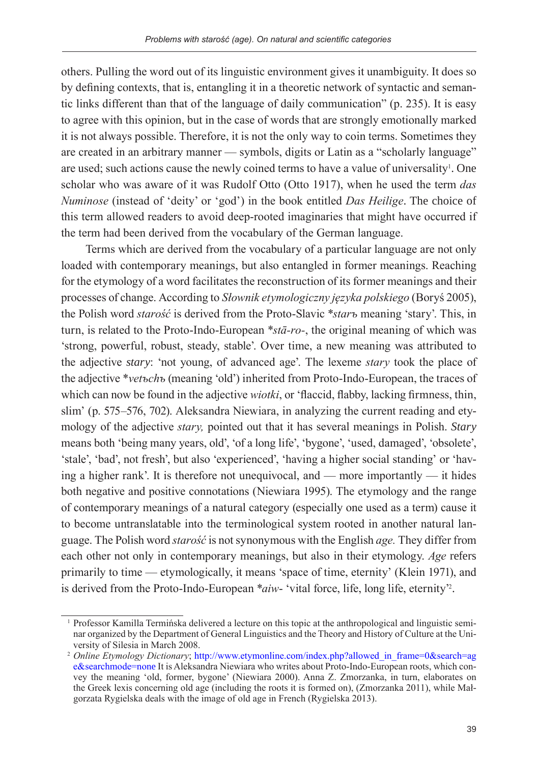others. Pulling the word out of its linguistic environment gives it unambiguity. It does so by defining contexts, that is, entangling it in a theoretic network of syntactic and semantic links different than that of the language of daily communication" (p. 235). It is easy to agree with this opinion, but in the case of words that are strongly emotionally marked it is not always possible. Therefore, it is not the only way to coin terms. Sometimes they are created in an arbitrary manner — symbols, digits or Latin as a "scholarly language" are used; such actions cause the newly coined terms to have a value of universality<sup>1</sup>. One scholar who was aware of it was Rudolf Otto (Otto 1917), when he used the term *das Numinose* (instead of 'deity' or 'god') in the book entitled *Das Heilige*. The choice of this term allowed readers to avoid deep-rooted imaginaries that might have occurred if the term had been derived from the vocabulary of the German language.

Terms which are derived from the vocabulary of a particular language are not only loaded with contemporary meanings, but also entangled in former meanings. Reaching for the etymology of a word facilitates the reconstruction of its former meanings and their processes of change. According to *Słownik etymologiczny języka polskiego* (Boryś 2005), the Polish word *starość* is derived from the Proto-Slavic \**starъ* meaning 'stary'. This, in turn, is related to the Proto-Indo-European \**stā-ro-*, the original meaning of which was 'strong, powerful, robust, steady, stable'. Over time, a new meaning was attributed to the adjective *stary*: 'not young, of advanced age'. The lexeme *stary* took the place of the adjective \**vetъchъ* (meaning 'old') inherited from Proto-Indo-European, the traces of which can now be found in the adjective *wiotki*, or 'flaccid, flabby, lacking firmness, thin, slim' (p. 575–576, 702). Aleksandra Niewiara, in analyzing the current reading and etymology of the adjective *stary,* pointed out that it has several meanings in Polish. *Stary* means both 'being many years, old', 'of a long life', 'bygone', 'used, damaged', 'obsolete', 'stale', 'bad', not fresh', but also 'experienced', 'having a higher social standing' or 'having a higher rank'. It is therefore not unequivocal, and — more importantly — it hides both negative and positive connotations (Niewiara 1995). The etymology and the range of contemporary meanings of a natural category (especially one used as a term) cause it to become untranslatable into the terminological system rooted in another natural language. The Polish word *starość* is not synonymous with the English *age.* They differ from each other not only in contemporary meanings, but also in their etymology. *Age* refers primarily to time — etymologically, it means 'space of time, eternity' (Klein 1971), and is derived from the Proto-Indo-European \**aiw*- 'vital force, life, long life, eternity'2 .

<sup>1</sup> Professor Kamilla Termińska delivered a lecture on this topic at the anthropological and linguistic seminar organized by the Department of General Linguistics and the Theory and History of Culture at the University of Silesia in March 2008.

<sup>&</sup>lt;sup>2</sup> *Online Etymology Dictionary*; [http://www.etymonline.com/index.php?allowed\\_in\\_frame=0&search=ag](http://www.etymonline.com/index.php?allowed_in_frame=0&search=age&searchmode=none) [e&searchmode=non](http://www.etymonline.com/index.php?allowed_in_frame=0&search=age&searchmode=none)e It is Aleksandra Niewiara who writes about Proto-Indo-European roots, which convey the meaning 'old, former, bygone' (Niewiara 2000). Anna Z. Zmorzanka, in turn, elaborates on the Greek lexis concerning old age (including the roots it is formed on), (Zmorzanka 2011), while Małgorzata Rygielska deals with the image of old age in French (Rygielska 2013).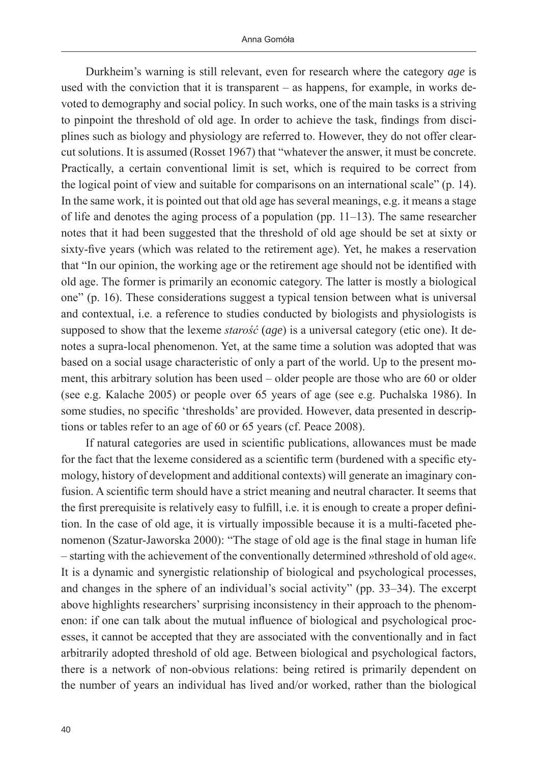Durkheim's warning is still relevant, even for research where the category *age* is used with the conviction that it is transparent – as happens, for example, in works devoted to demography and social policy. In such works, one of the main tasks is a striving to pinpoint the threshold of old age. In order to achieve the task, findings from disciplines such as biology and physiology are referred to. However, they do not offer clearcut solutions. It is assumed (Rosset 1967) that "whatever the answer, it must be concrete. Practically, a certain conventional limit is set, which is required to be correct from the logical point of view and suitable for comparisons on an international scale" (p. 14). In the same work, it is pointed out that old age has several meanings, e.g. it means a stage of life and denotes the aging process of a population (pp.  $11-13$ ). The same researcher notes that it had been suggested that the threshold of old age should be set at sixty or sixty-five years (which was related to the retirement age). Yet, he makes a reservation that "In our opinion, the working age or the retirement age should not be identified with old age. The former is primarily an economic category. The latter is mostly a biological one" (p. 16). These considerations suggest a typical tension between what is universal and contextual, i.e. a reference to studies conducted by biologists and physiologists is supposed to show that the lexeme *starość* (*age*) is a universal category (etic one). It denotes a supra-local phenomenon. Yet, at the same time a solution was adopted that was based on a social usage characteristic of only a part of the world. Up to the present moment, this arbitrary solution has been used – older people are those who are 60 or older (see e.g. Kalache 2005) or people over 65 years of age (see e.g. Puchalska 1986). In some studies, no specific 'thresholds' are provided. However, data presented in descriptions or tables refer to an age of 60 or 65 years (cf. Peace 2008).

If natural categories are used in scientific publications, allowances must be made for the fact that the lexeme considered as a scientific term (burdened with a specific etymology, history of development and additional contexts) will generate an imaginary confusion. A scientific term should have a strict meaning and neutral character. It seems that the first prerequisite is relatively easy to fulfill, i.e. it is enough to create a proper definition. In the case of old age, it is virtually impossible because it is a multi-faceted phenomenon (Szatur-Jaworska 2000): "The stage of old age is the final stage in human life – starting with the achievement of the conventionally determined »threshold of old age«. It is a dynamic and synergistic relationship of biological and psychological processes, and changes in the sphere of an individual's social activity" (pp. 33–34). The excerpt above highlights researchers' surprising inconsistency in their approach to the phenomenon: if one can talk about the mutual influence of biological and psychological processes, it cannot be accepted that they are associated with the conventionally and in fact arbitrarily adopted threshold of old age. Between biological and psychological factors, there is a network of non-obvious relations: being retired is primarily dependent on the number of years an individual has lived and/or worked, rather than the biological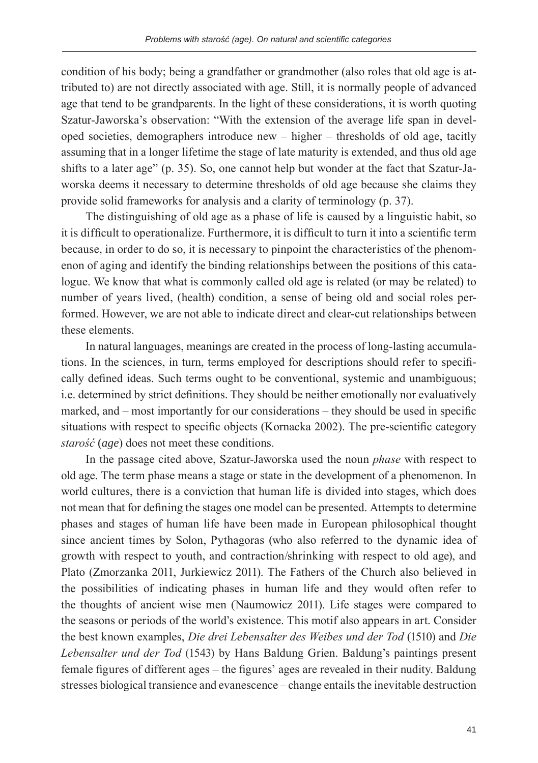condition of his body; being a grandfather or grandmother (also roles that old age is attributed to) are not directly associated with age. Still, it is normally people of advanced age that tend to be grandparents. In the light of these considerations, it is worth quoting Szatur-Jaworska's observation: "With the extension of the average life span in developed societies, demographers introduce new – higher – thresholds of old age, tacitly assuming that in a longer lifetime the stage of late maturity is extended, and thus old age shifts to a later age" (p. 35). So, one cannot help but wonder at the fact that Szatur-Jaworska deems it necessary to determine thresholds of old age because she claims they provide solid frameworks for analysis and a clarity of terminology (p. 37).

The distinguishing of old age as a phase of life is caused by a linguistic habit, so it is difficult to operationalize. Furthermore, it is difficult to turn it into a scientific term because, in order to do so, it is necessary to pinpoint the characteristics of the phenomenon of aging and identify the binding relationships between the positions of this catalogue. We know that what is commonly called old age is related (or may be related) to number of years lived, (health) condition, a sense of being old and social roles performed. However, we are not able to indicate direct and clear-cut relationships between these elements.

In natural languages, meanings are created in the process of long-lasting accumulations. In the sciences, in turn, terms employed for descriptions should refer to specifically defined ideas. Such terms ought to be conventional, systemic and unambiguous; i.e. determined by strict definitions. They should be neither emotionally nor evaluatively marked, and – most importantly for our considerations – they should be used in specific situations with respect to specific objects (Kornacka 2002). The pre-scientific category *starość* (*age*) does not meet these conditions.

In the passage cited above, Szatur-Jaworska used the noun *phase* with respect to old age. The term phase means a stage or state in the development of a phenomenon. In world cultures, there is a conviction that human life is divided into stages, which does not mean that for defining the stages one model can be presented. Attempts to determine phases and stages of human life have been made in European philosophical thought since ancient times by Solon, Pythagoras (who also referred to the dynamic idea of growth with respect to youth, and contraction/shrinking with respect to old age), and Plato (Zmorzanka 2011, Jurkiewicz 2011). The Fathers of the Church also believed in the possibilities of indicating phases in human life and they would often refer to the thoughts of ancient wise men (Naumowicz 2011). Life stages were compared to the seasons or periods of the world's existence. This motif also appears in art. Consider the best known examples, *Die drei Lebensalter des Weibes und der Tod* (1510) and *Die Lebensalter und der Tod* (1543) by Hans Baldung Grien. Baldung's paintings present female figures of different ages – the figures' ages are revealed in their nudity. Baldung stresses biological transience and evanescence – change entails the inevitable destruction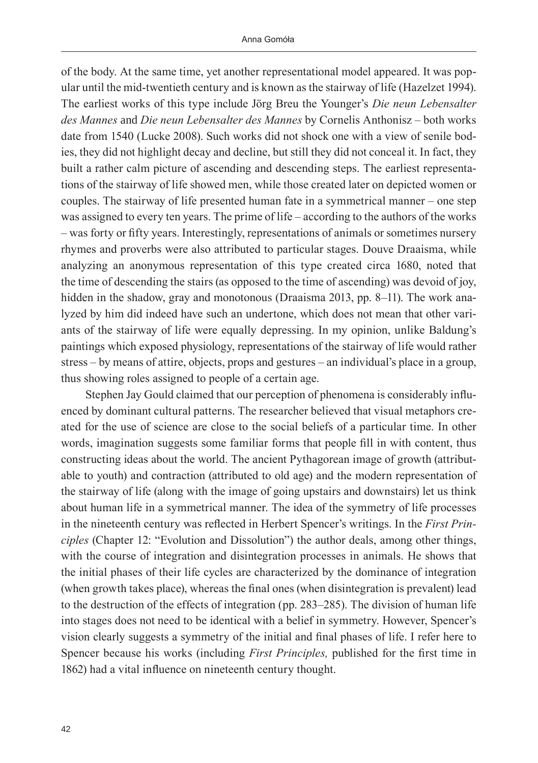of the body. At the same time, yet another representational model appeared. It was popular until the mid-twentieth century and is known as the stairway of life (Hazelzet 1994). The earliest works of this type include Jörg Breu the Younger's *Die neun Lebensalter des Mannes* and *Die neun Lebensalter des Mannes* by Cornelis Anthonisz – both works date from 1540 (Lucke 2008). Such works did not shock one with a view of senile bodies, they did not highlight decay and decline, but still they did not conceal it. In fact, they built a rather calm picture of ascending and descending steps. The earliest representations of the stairway of life showed men, while those created later on depicted women or couples. The stairway of life presented human fate in a symmetrical manner – one step was assigned to every ten years. The prime of life – according to the authors of the works – was forty or fifty years. Interestingly, representations of animals or sometimes nursery rhymes and proverbs were also attributed to particular stages. Douve Draaisma, while analyzing an anonymous representation of this type created circa 1680, noted that the time of descending the stairs (as opposed to the time of ascending) was devoid of joy, hidden in the shadow, gray and monotonous (Draaisma 2013, pp. 8–11). The work analyzed by him did indeed have such an undertone, which does not mean that other variants of the stairway of life were equally depressing. In my opinion, unlike Baldung's paintings which exposed physiology, representations of the stairway of life would rather stress – by means of attire, objects, props and gestures – an individual's place in a group, thus showing roles assigned to people of a certain age.

Stephen Jay Gould claimed that our perception of phenomena is considerably influenced by dominant cultural patterns. The researcher believed that visual metaphors created for the use of science are close to the social beliefs of a particular time. In other words, imagination suggests some familiar forms that people fill in with content, thus constructing ideas about the world. The ancient Pythagorean image of growth (attributable to youth) and contraction (attributed to old age) and the modern representation of the stairway of life (along with the image of going upstairs and downstairs) let us think about human life in a symmetrical manner. The idea of the symmetry of life processes in the nineteenth century was reflected in Herbert Spencer's writings. In the *First Principles* (Chapter 12: "Evolution and Dissolution") the author deals, among other things, with the course of integration and disintegration processes in animals. He shows that the initial phases of their life cycles are characterized by the dominance of integration (when growth takes place), whereas the final ones (when disintegration is prevalent) lead to the destruction of the effects of integration (pp. 283–285). The division of human life into stages does not need to be identical with a belief in symmetry. However, Spencer's vision clearly suggests a symmetry of the initial and final phases of life. I refer here to Spencer because his works (including *First Principles,* published for the first time in 1862) had a vital influence on nineteenth century thought.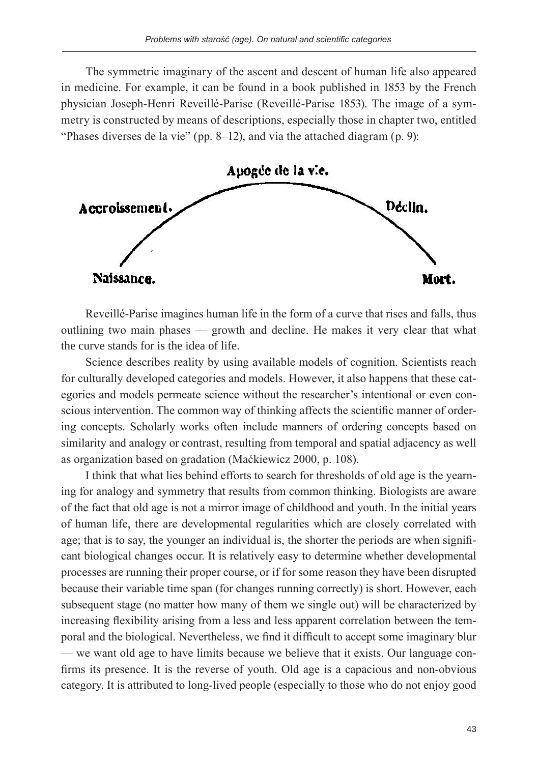The symmetric imaginary of the ascent and descent of human life also appeared in medicine. For example, it can be found in a book published in 1853 by the French physician Joseph-Henri Reveillé-Parise (Reveillé-Parise 1853). The image of a symmetry is constructed by means of descriptions, especially those in chapter two, entitled "Phases diverses de la vie" (pp. 8–12), and via the attached diagram (p. 9):



Reveillé-Parise imagines human life in the form of a curve that rises and falls, thus outlining two main phases — growth and decline. He makes it very clear that what the curve stands for is the idea of life.

Science describes reality by using available models of cognition. Scientists reach for culturally developed categories and models. However, it also happens that these categories and models permeate science without the researcher's intentional or even conscious intervention. The common way of thinking affects the scientific manner of ordering concepts. Scholarly works often include manners of ordering concepts based on similarity and analogy or contrast, resulting from temporal and spatial adjacency as well as organization based on gradation (Maćkiewicz 2000, p. 108).

I think that what lies behind efforts to search for thresholds of old age is the yearning for analogy and symmetry that results from common thinking. Biologists are aware of the fact that old age is not a mirror image of childhood and youth. In the initial years of human life, there are developmental regularities which are closely correlated with age; that is to say, the younger an individual is, the shorter the periods are when significant biological changes occur. It is relatively easy to determine whether developmental processes are running their proper course, or if for some reason they have been disrupted because their variable time span (for changes running correctly) is short. However, each subsequent stage (no matter how many of them we single out) will be characterized by increasing flexibility arising from a less and less apparent correlation between the temporal and the biological. Nevertheless, we find it difficult to accept some imaginary blur — we want old age to have limits because we believe that it exists. Our language confirms its presence. It is the reverse of youth. Old age is a capacious and non-obvious category. It is attributed to long-lived people (especially to those who do not enjoy good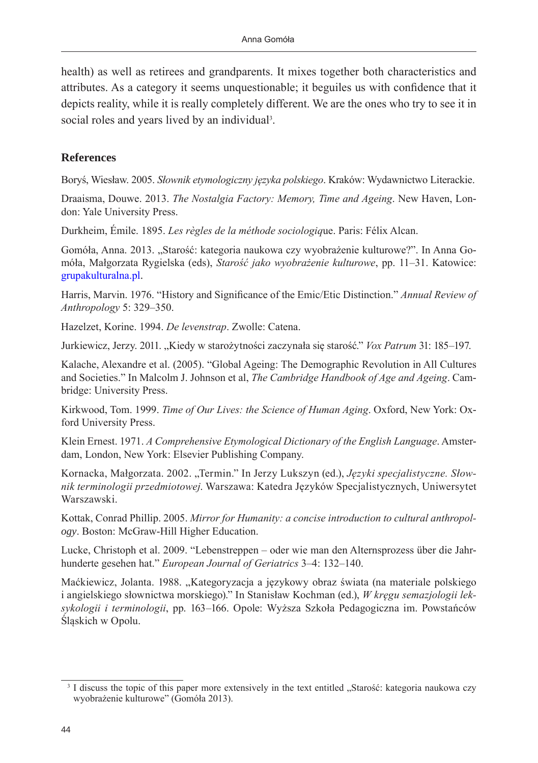health) as well as retirees and grandparents. It mixes together both characteristics and attributes. As a category it seems unquestionable; it beguiles us with confidence that it depicts reality, while it is really completely different. We are the ones who try to see it in social roles and years lived by an individual<sup>3</sup>.

## **References**

Boryś, Wiesław. 2005. *Słownik etymologiczny języka polskiego*. Kraków: Wydawnictwo Literackie.

Draaisma, Douwe. 2013. *The Nostalgia Factory: Memory, Time and Ageing*. New Haven, London: Yale University Press.

Durkheim, Émile. 1895. *Les règles de la méthode sociologiq*ue. Paris: Félix Alcan.

Gomóła, Anna. 2013. "Starość: kategoria naukowa czy wyobrażenie kulturowe?". In Anna Gomóła, Małgorzata Rygielska (eds), *Starość jako wyobrażenie kulturowe*, pp. 11–31. Katowice: [grupakulturalna.p](grupakulturalna.pl)l.

Harris, Marvin. 1976. "History and Significance of the Emic/Etic Distinction." *Annual Review of Anthropology* 5: 329–350.

Hazelzet, Korine. 1994. *De levenstrap*. Zwolle: Catena.

Jurkiewicz, Jerzy. 2011. "Kiedy w starożytności zaczynała się starość." *Vox Patrum* 31: 185–197.

Kalache, Alexandre et al. (2005). "Global Ageing: The Demographic Revolution in All Cultures and Societies." In Malcolm J. Johnson et al, *The Cambridge Handbook of Age and Ageing*. Cambridge: University Press.

Kirkwood, Tom. 1999. *Time of Our Lives: the Science of Human Aging*. Oxford, New York: Oxford University Press.

Klein Ernest. 1971. *A Comprehensive Etymological Dictionary of the English Language*. Amsterdam, London, New York: Elsevier Publishing Company.

Kornacka, Małgorzata. 2002. "Termin." In Jerzy Lukszyn (ed.), *Języki specjalistyczne. Słownik terminologii przedmiotowej*. Warszawa: Katedra Języków Specjalistycznych, Uniwersytet Warszawski.

Kottak, Conrad Phillip. 2005. *Mirror for Humanity: a concise introduction to cultural anthropology*. Boston: McGraw-Hill Higher Education.

Lucke, Christoph et al. 2009. "Lebenstreppen – oder wie man den Alternsprozess über die Jahrhunderte gesehen hat." *European Journal of Geriatrics* 3–4: 132–140.

Maćkiewicz, Jolanta. 1988. "Kategoryzacja a językowy obraz świata (na materiale polskiego i angielskiego słownictwa morskiego)." In Stanisław Kochman (ed.), *W kręgu semazjologii leksykologii i terminologii*, pp. 163–166. Opole: Wyższa Szkoła Pedagogiczna im. Powstańców Śląskich w Opolu.

<sup>&</sup>lt;sup>3</sup> I discuss the topic of this paper more extensively in the text entitled "Starość: kategoria naukowa czy wyobrażenie kulturowe" (Gomóła 2013).